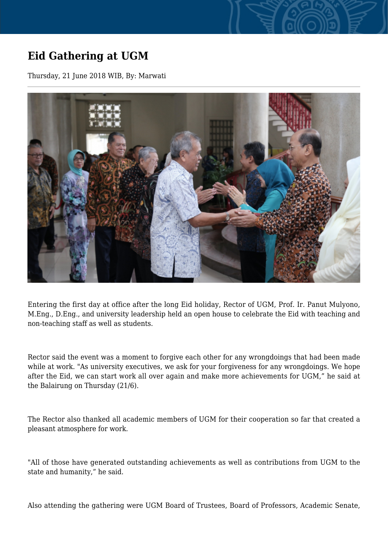## **Eid Gathering at UGM**

Thursday, 21 June 2018 WIB, By: Marwati



Entering the first day at office after the long Eid holiday, Rector of UGM, Prof. Ir. Panut Mulyono, M.Eng., D.Eng., and university leadership held an open house to celebrate the Eid with teaching and non-teaching staff as well as students.

Rector said the event was a moment to forgive each other for any wrongdoings that had been made while at work. "As university executives, we ask for your forgiveness for any wrongdoings. We hope after the Eid, we can start work all over again and make more achievements for UGM," he said at the Balairung on Thursday (21/6).

The Rector also thanked all academic members of UGM for their cooperation so far that created a pleasant atmosphere for work.

"All of those have generated outstanding achievements as well as contributions from UGM to the state and humanity," he said.

Also attending the gathering were UGM Board of Trustees, Board of Professors, Academic Senate,